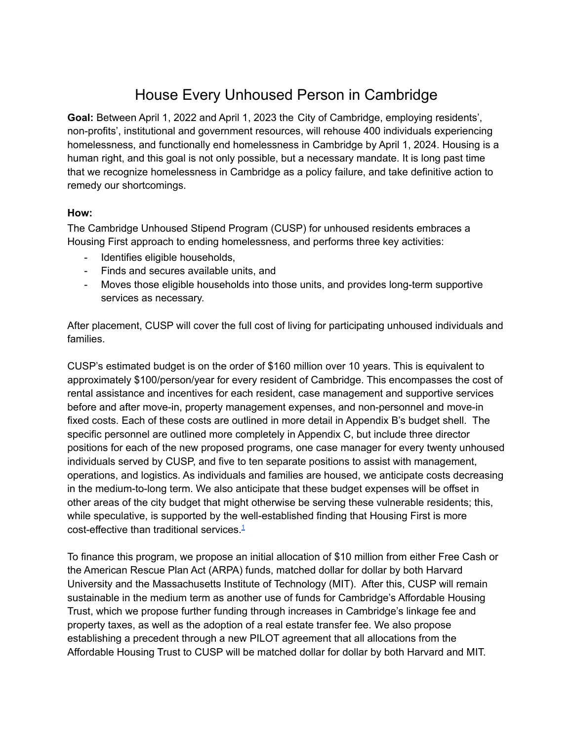# House Every Unhoused Person in Cambridge

**Goal:** Between April 1, 2022 and April 1, 2023 the City of Cambridge, employing residents', non-profits', institutional and government resources, will rehouse 400 individuals experiencing homelessness, and functionally end homelessness in Cambridge by April 1, 2024. Housing is a human right, and this goal is not only possible, but a necessary mandate. It is long past time that we recognize homelessness in Cambridge as a policy failure, and take definitive action to remedy our shortcomings.

#### **How:**

The Cambridge Unhoused Stipend Program (CUSP) for unhoused residents embraces a Housing First approach to ending homelessness, and performs three key activities:

- Identifies eligible households,
- Finds and secures available units, and
- Moves those eligible households into those units, and provides long-term supportive services as necessary.

After placement, CUSP will cover the full cost of living for participating unhoused individuals and families.

CUSP's estimated budget is on the order of \$160 million over 10 years. This is equivalent to approximately \$100/person/year for every resident of Cambridge. This encompasses the cost of rental assistance and incentives for each resident, case management and supportive services before and after move-in, property management expenses, and non-personnel and move-in fixed costs. Each of these costs are outlined in more detail in Appendix B's budget shell. The specific personnel are outlined more completely in Appendix C, but include three director positions for each of the new proposed programs, one case manager for every twenty unhoused individuals served by CUSP, and five to ten separate positions to assist with management, operations, and logistics. As individuals and families are housed, we anticipate costs decreasing in the medium-to-long term. We also anticipate that these budget expenses will be offset in other areas of the city budget that might otherwise be serving these vulnerable residents; this, while speculative, is supported by the well-established finding that Housing First is more cost-effective than traditional services  $1$ 

To finance this program, we propose an initial allocation of \$10 million from either Free Cash or the American Rescue Plan Act (ARPA) funds, matched dollar for dollar by both Harvard University and the Massachusetts Institute of Technology (MIT). After this, CUSP will remain sustainable in the medium term as another use of funds for Cambridge's Affordable Housing Trust, which we propose further funding through increases in Cambridge's linkage fee and property taxes, as well as the adoption of a real estate transfer fee. We also propose establishing a precedent through a new PILOT agreement that all allocations from the Affordable Housing Trust to CUSP will be matched dollar for dollar by both Harvard and MIT.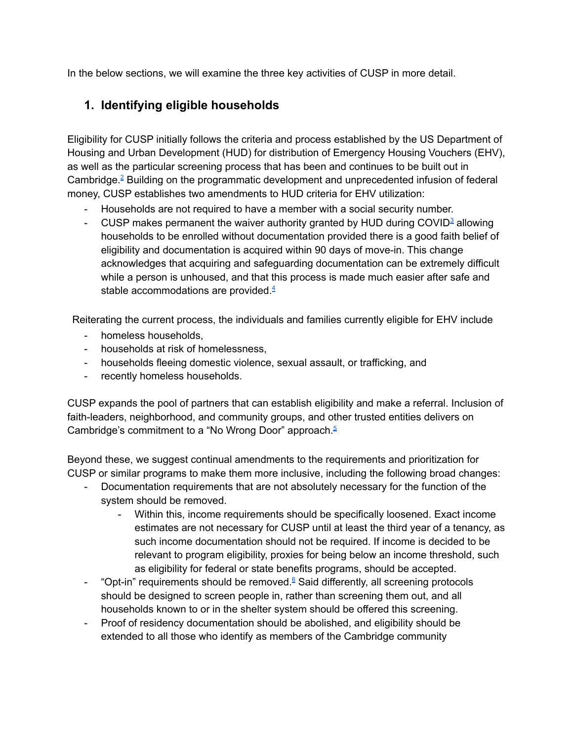In the below sections, we will examine the three key activities of CUSP in more detail.

#### **1. Identifying eligible households**

Eligibility for CUSP initially follows the criteria and process established by the US Department of Housing and Urban Development (HUD) for distribution of Emergency Housing Vouchers (EHV), as well as the particular screening process that has been and continues to be built out in Cambridge. [2](#page-8-0) Building on the programmatic development and unprecedented infusion of federal money, CUSP establishes two amendments to HUD criteria for EHV utilization:

- Households are not required to have a member with a social security number.
- CUSP makes permanent the waiver authority granted by HUD during COVID $^3$  $^3$  allowing households to be enrolled without documentation provided there is a good faith belief of eligibility and documentation is acquired within 90 days of move-in. This change acknowledges that acquiring and safeguarding documentation can be extremely difficult while a person is unhoused, and that this process is made much easier after safe and stable accommodations are provided  $4\overline{ }$  $4\overline{ }$

Reiterating the current process, the individuals and families currently eligible for EHV include

- homeless households,
- households at risk of homelessness,
- households fleeing domestic violence, sexual assault, or trafficking, and
- recently homeless households.

CUSP expands the pool of partners that can establish eligibility and make a referral. Inclusion of faith-leaders, neighborhood, and community groups, and other trusted entities delivers on Cambridge's commitment to a "No Wrong Door" approach.<sup>[5](#page-8-3)</sup>

Beyond these, we suggest continual amendments to the requirements and prioritization for CUSP or similar programs to make them more inclusive, including the following broad changes:

- Documentation requirements that are not absolutely necessary for the function of the system should be removed.
	- Within this, income requirements should be specifically loosened. Exact income estimates are not necessary for CUSP until at least the third year of a tenancy, as such income documentation should not be required. If income is decided to be relevant to program eligibility, proxies for being below an income threshold, such as eligibility for federal or state benefits programs, should be accepted.
- "Opt-in" requirements should be removed.<sup>[6](#page-8-4)</sup> Said differently, all screening protocols should be designed to screen people in, rather than screening them out, and all households known to or in the shelter system should be offered this screening.
- Proof of residency documentation should be abolished, and eligibility should be extended to all those who identify as members of the Cambridge community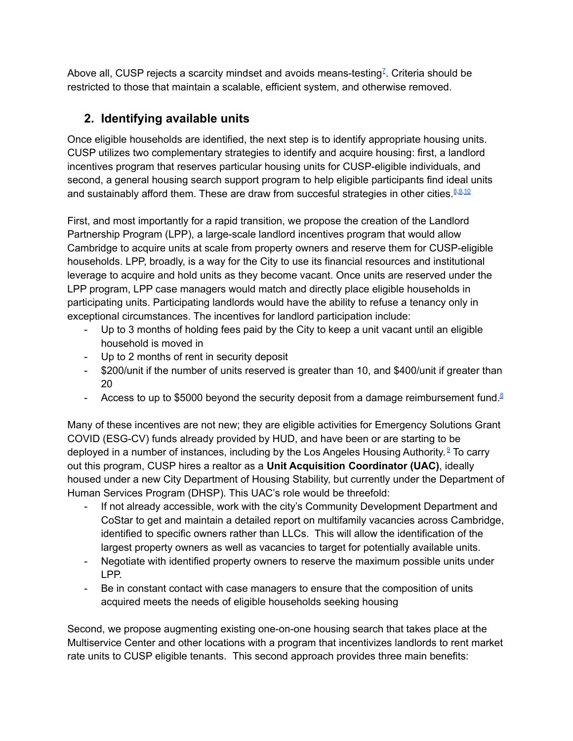Above all, CUSP rejects a scarcity mindset and avoids means-testing<sup> $I$ </sup>. Criteria should be restricted to those that maintain a scalable, efficient system, and otherwise removed.

# **2. Identifying available units**

Once eligible households are identified, the next step is to identify appropriate housing units. CUSP utilizes two complementary strategies to identify and acquire housing: first, a landlord incentives program that reserves particular housing units for CUSP-eligible individuals, and second, a general housing search support program to help eligible participants find ideal units and sustainably afford them. These are draw from succesful strategies in other cities.<sup>[8](#page-8-6)[,9,](#page-8-7)[10](#page-8-8)</sup>

First, and most importantly for a rapid transition, we propose the creation of the Landlord Partnership Program (LPP), a large-scale landlord incentives program that would allow Cambridge to acquire units at scale from property owners and reserve them for CUSP-eligible households. LPP, broadly, is a way for the City to use its financial resources and institutional leverage to acquire and hold units as they become vacant. Once units are reserved under the LPP program, LPP case managers would match and directly place eligible households in participating units. Participating landlords would have the ability to refuse a tenancy only in exceptional circumstances. The incentives for landlord participation include:

- Up to 3 months of holding fees paid by the City to keep a unit vacant until an eligible household is moved in
- Up to 2 months of rent in security deposit
- \$200/unit if the number of units reserved is greater than 10, and \$400/unit if greater than 20
- Access to up to \$5000 beyond the security deposit from a damage reimbursement fund.<sup>[8](#page-8-6)</sup>

Many of these incentives are not new; they are eligible activities for Emergency Solutions Grant COVID (ESG-CV) funds already provided by HUD, and have been or are starting to be deployed in a number of instances, including by the Los Angeles Housing Authority. <sup>[9](#page-8-7)</sup> To carry out this program, CUSP hires a realtor as a **Unit Acquisition Coordinator (UAC)**, ideally housed under a new City Department of Housing Stability, but currently under the Department of Human Services Program (DHSP). This UAC's role would be threefold:

- If not already accessible, work with the city's Community Development Department and CoStar to get and maintain a detailed report on multifamily vacancies across Cambridge, identified to specific owners rather than LLCs. This will allow the identification of the largest property owners as well as vacancies to target for potentially available units.
- Negotiate with identified property owners to reserve the maximum possible units under LPP.
- Be in constant contact with case managers to ensure that the composition of units acquired meets the needs of eligible households seeking housing

Second, we propose augmenting existing one-on-one housing search that takes place at the Multiservice Center and other locations with a program that incentivizes landlords to rent market rate units to CUSP eligible tenants. This second approach provides three main benefits: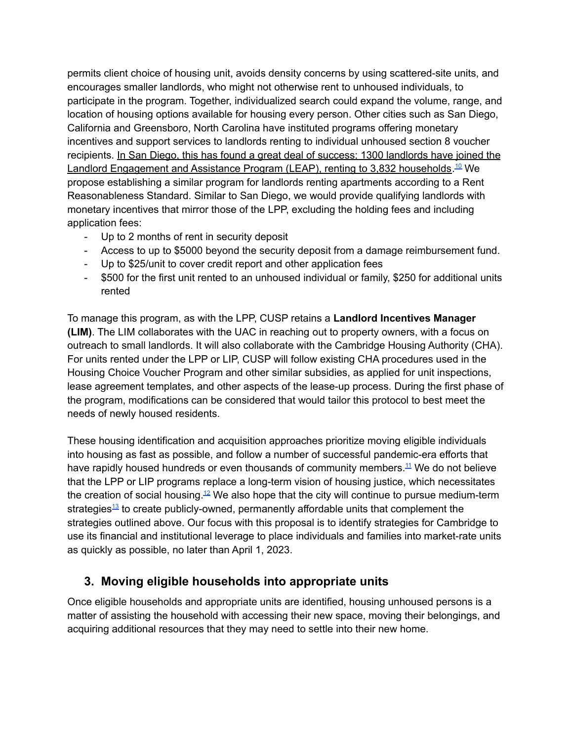permits client choice of housing unit, avoids density concerns by using scattered-site units, and encourages smaller landlords, who might not otherwise rent to unhoused individuals, to participate in the program. Together, individualized search could expand the volume, range, and location of housing options available for housing every person. Other cities such as San Diego, California and Greensboro, North Carolina have instituted programs offering monetary incentives and support services to landlords renting to individual unhoused section 8 voucher recipients. In San Diego, this has found a great deal of success; 1300 landlords have joined the Landlord Engagement and Assistance Program (LEAP), renting to 3,832 households.<sup>[10](#page-8-8)</sup> We propose establishing a similar program for landlords renting apartments according to a Rent Reasonableness Standard. Similar to San Diego, we would provide qualifying landlords with monetary incentives that mirror those of the LPP, excluding the holding fees and including application fees:

- Up to 2 months of rent in security deposit
- Access to up to \$5000 beyond the security deposit from a damage reimbursement fund.
- Up to \$25/unit to cover credit report and other application fees
- \$500 for the first unit rented to an unhoused individual or family, \$250 for additional units rented

To manage this program, as with the LPP, CUSP retains a **Landlord Incentives Manager (LIM)**. The LIM collaborates with the UAC in reaching out to property owners, with a focus on outreach to small landlords. It will also collaborate with the Cambridge Housing Authority (CHA). For units rented under the LPP or LIP, CUSP will follow existing CHA procedures used in the Housing Choice Voucher Program and other similar subsidies, as applied for unit inspections, lease agreement templates, and other aspects of the lease-up process. During the first phase of the program, modifications can be considered that would tailor this protocol to best meet the needs of newly housed residents.

These housing identification and acquisition approaches prioritize moving eligible individuals into housing as fast as possible, and follow a number of successful pandemic-era efforts that have rapidly housed hundreds or even thousands of community members.<sup>11</sup> We do not believe that the LPP or LIP programs replace a long-term vision of housing justice, which necessitates the creation of social housing.<sup>[12](#page-8-9)</sup> We also hope that the city will continue to pursue medium-term strategies<sup>[13](#page-8-10)</sup> to create publicly-owned, permanently affordable units that complement the strategies outlined above. Our focus with this proposal is to identify strategies for Cambridge to use its financial and institutional leverage to place individuals and families into market-rate units as quickly as possible, no later than April 1, 2023.

#### **3. Moving eligible households into appropriate units**

Once eligible households and appropriate units are identified, housing unhoused persons is a matter of assisting the household with accessing their new space, moving their belongings, and acquiring additional resources that they may need to settle into their new home.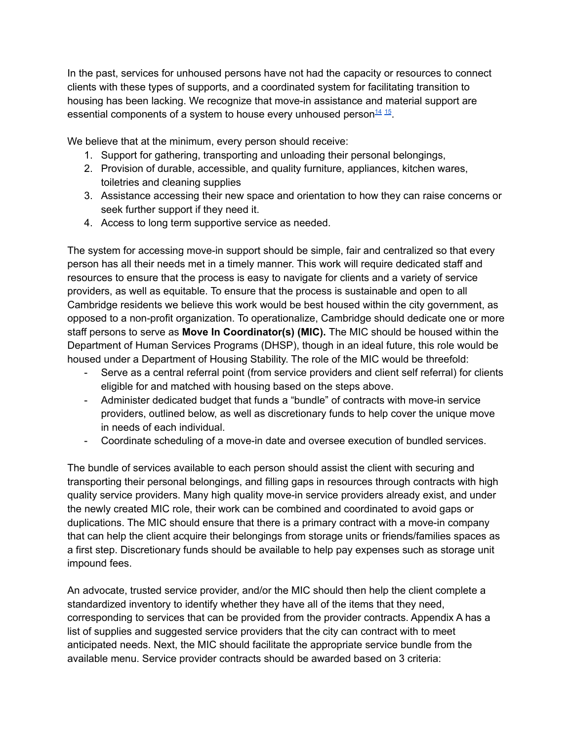In the past, services for unhoused persons have not had the capacity or resources to connect clients with these types of supports, and a coordinated system for facilitating transition to housing has been lacking. We recognize that move-in assistance and material support are essential components of a system to house every unhoused person<sup>[14](#page-8-11)</sup> <sup>[15](#page-8-12)</sup>.

We believe that at the minimum, every person should receive:

- 1. Support for gathering, transporting and unloading their personal belongings,
- 2. Provision of durable, accessible, and quality furniture, appliances, kitchen wares, toiletries and cleaning supplies
- 3. Assistance accessing their new space and orientation to how they can raise concerns or seek further support if they need it.
- 4. Access to long term supportive service as needed.

The system for accessing move-in support should be simple, fair and centralized so that every person has all their needs met in a timely manner. This work will require dedicated staff and resources to ensure that the process is easy to navigate for clients and a variety of service providers, as well as equitable. To ensure that the process is sustainable and open to all Cambridge residents we believe this work would be best housed within the city government, as opposed to a non-profit organization. To operationalize, Cambridge should dedicate one or more staff persons to serve as **Move In Coordinator(s) (MIC).** The MIC should be housed within the Department of Human Services Programs (DHSP), though in an ideal future, this role would be housed under a Department of Housing Stability. The role of the MIC would be threefold:

- Serve as a central referral point (from service providers and client self referral) for clients eligible for and matched with housing based on the steps above.
- Administer dedicated budget that funds a "bundle" of contracts with move-in service providers, outlined below, as well as discretionary funds to help cover the unique move in needs of each individual.
- Coordinate scheduling of a move-in date and oversee execution of bundled services.

The bundle of services available to each person should assist the client with securing and transporting their personal belongings, and filling gaps in resources through contracts with high quality service providers. Many high quality move-in service providers already exist, and under the newly created MIC role, their work can be combined and coordinated to avoid gaps or duplications. The MIC should ensure that there is a primary contract with a move-in company that can help the client acquire their belongings from storage units or friends/families spaces as a first step. Discretionary funds should be available to help pay expenses such as storage unit impound fees.

An advocate, trusted service provider, and/or the MIC should then help the client complete a standardized inventory to identify whether they have all of the items that they need, corresponding to services that can be provided from the provider contracts. Appendix A has a list of supplies and suggested service providers that the city can contract with to meet anticipated needs. Next, the MIC should facilitate the appropriate service bundle from the available menu. Service provider contracts should be awarded based on 3 criteria: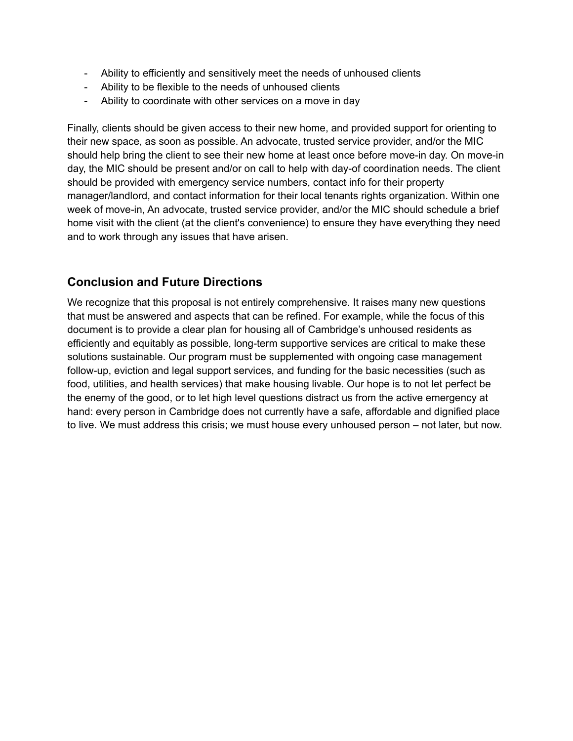- Ability to efficiently and sensitively meet the needs of unhoused clients
- Ability to be flexible to the needs of unhoused clients
- Ability to coordinate with other services on a move in day

Finally, clients should be given access to their new home, and provided support for orienting to their new space, as soon as possible. An advocate, trusted service provider, and/or the MIC should help bring the client to see their new home at least once before move-in day. On move-in day, the MIC should be present and/or on call to help with day-of coordination needs. The client should be provided with emergency service numbers, contact info for their property manager/landlord, and contact information for their local tenants rights organization. Within one week of move-in, An advocate, trusted service provider, and/or the MIC should schedule a brief home visit with the client (at the client's convenience) to ensure they have everything they need and to work through any issues that have arisen.

#### **Conclusion and Future Directions**

We recognize that this proposal is not entirely comprehensive. It raises many new questions that must be answered and aspects that can be refined. For example, while the focus of this document is to provide a clear plan for housing all of Cambridge's unhoused residents as efficiently and equitably as possible, long-term supportive services are critical to make these solutions sustainable. Our program must be supplemented with ongoing case management follow-up, eviction and legal support services, and funding for the basic necessities (such as food, utilities, and health services) that make housing livable. Our hope is to not let perfect be the enemy of the good, or to let high level questions distract us from the active emergency at hand: every person in Cambridge does not currently have a safe, affordable and dignified place to live. We must address this crisis; we must house every unhoused person – not later, but now.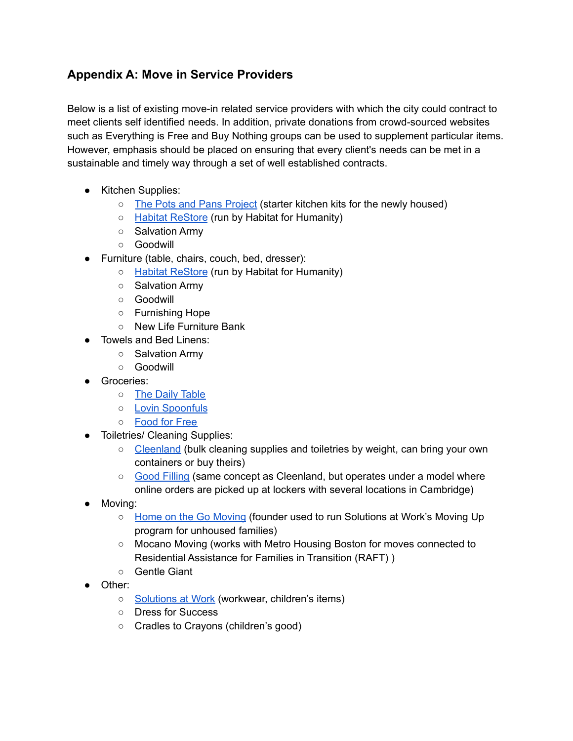# **Appendix A: Move in Service Providers**

Below is a list of existing move-in related service providers with which the city could contract to meet clients self identified needs. In addition, private donations from crowd-sourced websites such as Everything is Free and Buy Nothing groups can be used to supplement particular items. However, emphasis should be placed on ensuring that every client's needs can be met in a sustainable and timely way through a set of well established contracts.

- Kitchen Supplies:
	- The Pots and Pans [Project](https://www.thepotsandpansproject.com/) (starter kitchen kits for the newly housed)
	- Habitat [ReStore](https://www.habitat.org/restores) (run by Habitat for Humanity)
	- Salvation Army
	- Goodwill
- Furniture (table, chairs, couch, bed, dresser):
	- Habitat [ReStore](https://www.habitat.org/restores) (run by Habitat for Humanity)
	- Salvation Army
	- Goodwill
	- Furnishing Hope
	- New Life Furniture Bank
- Towels and Bed Linens:
	- Salvation Army
	- Goodwill
- Groceries:
	- The Daily [Table](https://dailytable.org/)
	- Lovin [Spoonfuls](https://lovinspoonfulsinc.org/)
	- [Food](https://foodforfree.org/) for Free
- Toiletries/ Cleaning Supplies:
	- [Cleenland](https://www.cleenland.com/) (bulk cleaning supplies and toiletries by weight, can bring your own containers or buy theirs)
	- Good [Filling](https://www.goodfilling.com/) (same concept as Cleenland, but operates under a model where online orders are picked up at lockers with several locations in Cambridge)
- Moving:
	- Home on the Go [Moving](https://www.homeonthegomoving.com/about-hotg) (founder used to run Solutions at Work's Moving Up program for unhoused families)
	- Mocano Moving (works with Metro Housing Boston for moves connected to Residential Assistance for Families in Transition (RAFT) )
	- Gentle Giant
- Other:
	- [Solutions](https://solutionsatwork.org/) at Work (workwear, children's items)
	- Dress for Success
	- Cradles to Crayons (children's good)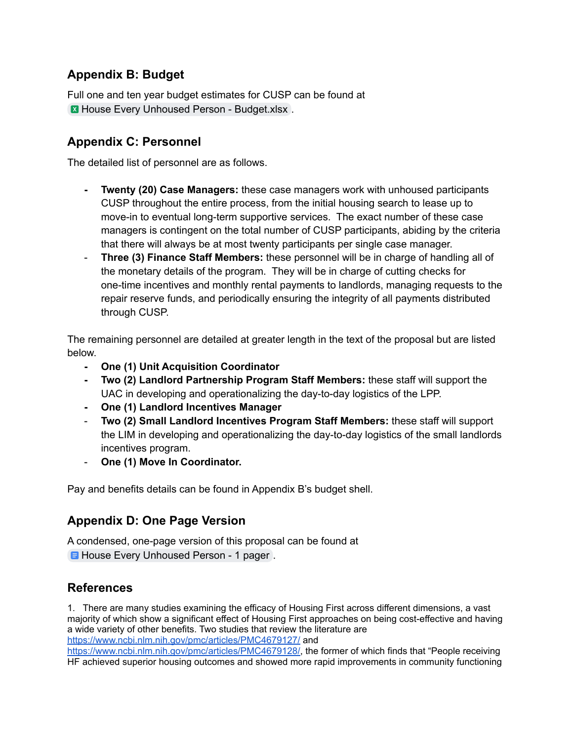# **Appendix B: Budget**

Full one and ten year budget estimates for CUSP can be found at **EX** House Every Unhoused Person - [Budget.xlsx](https://docs.google.com/spreadsheets/u/0/d/1fOjTDVySx0JxUNVTF_KoeE_KVtDcmVf4/edit).

#### **Appendix C: Personnel**

The detailed list of personnel are as follows.

- **- Twenty (20) Case Managers:** these case managers work with unhoused participants CUSP throughout the entire process, from the initial housing search to lease up to move-in to eventual long-term supportive services. The exact number of these case managers is contingent on the total number of CUSP participants, abiding by the criteria that there will always be at most twenty participants per single case manager.
- **Three (3) Finance Staff Members:** these personnel will be in charge of handling all of the monetary details of the program. They will be in charge of cutting checks for one-time incentives and monthly rental payments to landlords, managing requests to the repair reserve funds, and periodically ensuring the integrity of all payments distributed through CUSP.

The remaining personnel are detailed at greater length in the text of the proposal but are listed below.

- **- One (1) Unit Acquisition Coordinator**
- **- Two (2) Landlord Partnership Program Staff Members:** these staff will support the UAC in developing and operationalizing the day-to-day logistics of the LPP.
- **- One (1) Landlord Incentives Manager**
- **Two (2) Small Landlord Incentives Program Staff Members:** these staff will support the LIM in developing and operationalizing the day-to-day logistics of the small landlords incentives program.
- **One (1) Move In Coordinator.**

Pay and benefits details can be found in Appendix B's budget shell.

# **Appendix D: One Page Version**

A condensed, one-page version of this proposal can be found at **E** House Every [Unhoused](https://docs.google.com/document/u/0/d/1XCgWW9flVSn5TxGhPG2WJFvmJ6EPzks5XSTGftoaImo/edit) Person - 1 pager.

#### **References**

<span id="page-7-0"></span>1. There are many studies examining the efficacy of Housing First across different dimensions, a vast majority of which show a significant effect of Housing First approaches on being cost-effective and having a wide variety of other benefits. Two studies that review the literature are <https://www.ncbi.nlm.nih.gov/pmc/articles/PMC4679127/> and

[https://www.ncbi.nlm.nih.gov/pmc/articles/PMC4679128/,](https://www.ncbi.nlm.nih.gov/pmc/articles/PMC4679128/) the former of which finds that "People receiving HF achieved superior housing outcomes and showed more rapid improvements in community functioning